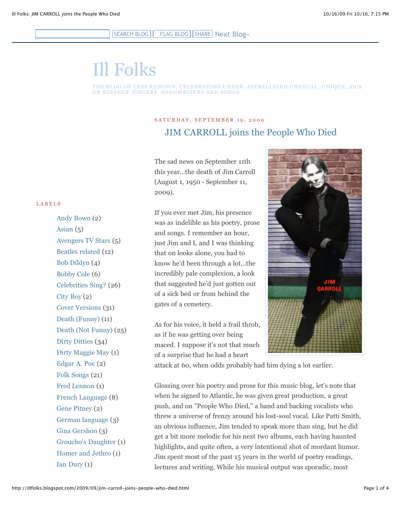## SEARCH BLOG | FLAG BLOG | SHARE | [Next Blog»](http://www.blogger.com/next-blog?navBar=true&blogID=13393846)

# [Ill Folks](http://illfolks.blogspot.com/)

#### THE BLOG OF LESS RENOWN, CELEBRATING UNDER - APPRECIATED UNUSUAL, UNIQUE, SICK OR STRANGE SINGERS, SONGWRITERS AND SONGS

## SATURDAY, SEPTEMBER 19, 2009 [JIM CARROLL joins the People Who Died](http://illfolks.blogspot.com/2009/09/jim-carroll-joins-people-who-died.html)

The sad news on September 11th this year...the death of Jim Carroll (August 1, 1950 - September 11, 2009).

If you ever met Jim, his presence was as indelible as his poetry, prose and songs. I remember an hour, just Jim and I, and I was thinking that on looks alone, you had to know he'd been through a lot...the incredibly pale complexion, a look that suggested he'd just gotten out of a sick bed or from behind the gates of a cemetery.

As for his voice, it held a frail throb, as if he was getting over being maced. I suppose it's not that much of a surprise that he had a heart



attack at 60, when odds probably had him dying a lot earlier.

Glossing over his poetry and prose for this music blog, let's note that when he signed to Atlantic, he was given great production, a great push, and on "People Who Died," a band and backing vocalists who threw a universe of frenzy around his lost-soul vocal. Like Patti Smith, an obvious influence, Jim tended to speak more than sing, but he did get a bit more melodic for his next two albums, each having haunted highlights, and quite often, a very intentional shot of mordant humor. Jim spent most of the past 15 years in the world of poetry readings, lectures and writing. While his musical output was sporadic, most

#### LABELS

[Andy Bown](http://illfolks.blogspot.com/search/label/Andy%20Bown) (2) [Asian](http://illfolks.blogspot.com/search/label/Asian)  $(5)$ [Avengers TV Stars](http://illfolks.blogspot.com/search/label/Avengers%20TV%20Stars) (5) [Beatles related](http://illfolks.blogspot.com/search/label/Beatles%20related) (12) [Bob Dildyn](http://illfolks.blogspot.com/search/label/Bob%20Dildyn) (4) [Bobby Cole](http://illfolks.blogspot.com/search/label/Bobby%20Cole) (6) [Celebrities Sing?](http://illfolks.blogspot.com/search/label/Celebrities%20Sing%3F) (26) [City Boy](http://illfolks.blogspot.com/search/label/City%20Boy) (2) [Cover Versions](http://illfolks.blogspot.com/search/label/Cover%20Versions) (31) [Death \(Funny\)](http://illfolks.blogspot.com/search/label/Death%20%28Funny%29) (11) [Death \(Not Funny\)](http://illfolks.blogspot.com/search/label/Death%20%28Not%20Funny%29) (25) [Dirty Ditties](http://illfolks.blogspot.com/search/label/Dirty%20Ditties) (34) [Dirty Maggie May](http://illfolks.blogspot.com/search/label/Dirty%20Maggie%20May) (1) [Edgar A. Poe](http://illfolks.blogspot.com/search/label/Edgar%20A.%20Poe) (2) [Folk Songs](http://illfolks.blogspot.com/search/label/Folk%20Songs) (21) [Fred Lennon](http://illfolks.blogspot.com/search/label/Fred%20Lennon) (1) [French Language](http://illfolks.blogspot.com/search/label/French%20Language) (8) [Gene Pitney](http://illfolks.blogspot.com/search/label/Gene%20Pitney) (2) [German language](http://illfolks.blogspot.com/search/label/German%20language) (3) [Gina Gershon](http://illfolks.blogspot.com/search/label/Gina%20Gershon) (3) [Groucho's Daughter](http://illfolks.blogspot.com/search/label/Groucho%27s%20Daughter) (1) [Homer and Jethro](http://illfolks.blogspot.com/search/label/Homer%20and%20Jethro) (1) [Ian Dury](http://illfolks.blogspot.com/search/label/Ian%20Dury) (1)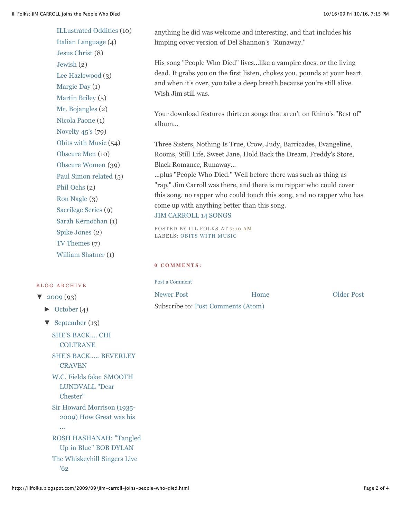[ILLustrated Oddities](http://illfolks.blogspot.com/search/label/ILLustrated%20Oddities) (10) [Italian Language](http://illfolks.blogspot.com/search/label/Italian%20Language) (4) [Jesus Christ](http://illfolks.blogspot.com/search/label/Jesus%20Christ) (8) [Jewish](http://illfolks.blogspot.com/search/label/Jewish) (2) [Lee Hazlewood](http://illfolks.blogspot.com/search/label/Lee%20Hazlewood) (3) [Margie Day](http://illfolks.blogspot.com/search/label/Margie%20Day) (1) [Martin Briley](http://illfolks.blogspot.com/search/label/Martin%20Briley) (5) [Mr. Bojangles](http://illfolks.blogspot.com/search/label/Mr.%20Bojangles) (2) [Nicola Paone](http://illfolks.blogspot.com/search/label/Nicola%20Paone) (1) [Novelty 45's](http://illfolks.blogspot.com/search/label/Novelty%2045%27s) (79) [Obits with Music](http://illfolks.blogspot.com/search/label/Obits%20with%20Music) (54) [Obscure Men](http://illfolks.blogspot.com/search/label/Obscure%20Men) (10) [Obscure Women](http://illfolks.blogspot.com/search/label/Obscure%20Women) (39) [Paul Simon related](http://illfolks.blogspot.com/search/label/Paul%20Simon%20related) (5) [Phil Ochs](http://illfolks.blogspot.com/search/label/Phil%20Ochs) (2) [Ron Nagle](http://illfolks.blogspot.com/search/label/Ron%20Nagle) (3) [Sacrilege Series](http://illfolks.blogspot.com/search/label/Sacrilege%20Series) (9) [Sarah Kernochan](http://illfolks.blogspot.com/search/label/Sarah%20Kernochan) (1) [Spike Jones](http://illfolks.blogspot.com/search/label/Spike%20Jones) (2) [TV Themes](http://illfolks.blogspot.com/search/label/TV%20Themes) (7) [William Shatner](http://illfolks.blogspot.com/search/label/William%20Shatner) (1)

## B L O G A R C H I V E

- $\blacktriangledown$  [2009](http://illfolks.blogspot.com/search?updated-min=2009-01-01T00%3A00%3A00-08%3A00&updated-max=2010-01-01T00%3A00%3A00-08%3A00&max-results=50) (93)
	- $\blacktriangleright$  [October](http://illfolks.blogspot.com/2009_10_01_archive.html) (4)

...

 $\blacktriangledown$  [September](http://illfolks.blogspot.com/2009_09_01_archive.html) (13)

[SHE'S BACK.... CHI](http://illfolks.blogspot.com/2009/09/shes-back-chi-coltrane.html) **COLTRANE** 

[SHE'S BACK..... BEVERLEY](http://illfolks.blogspot.com/2009/09/shes-back-beverley-craven.html) **CRAVEN** 

[W.C. Fields fake: SMOOTH](http://illfolks.blogspot.com/2009/09/wc-fields-fake-smooth-lundvall-dear.html) LUNDVALL "Dear Chester"

[Sir Howard Morrison \(1935-](http://illfolks.blogspot.com/2009/09/sir-howard-morrison-1935-2009-how-great.html) 2009) How Great was his

[ROSH HASHANAH: "Tangled](http://illfolks.blogspot.com/2009/09/rosh-hashanah-tangled-up-in-blue-bob.html) Up in Blue" BOB DYLAN [The Whiskeyhill Singers Live](http://illfolks.blogspot.com/2009/09/judy-henske-whiskeyhill-singers-live-62.html) '62

anything he did was welcome and interesting, and that includes his limping cover version of Del Shannon's "Runaway."

His song "People Who Died" lives...like a vampire does, or the living dead. It grabs you on the first listen, chokes you, pounds at your heart, and when it's over, you take a deep breath because you're still alive. Wish Jim still was.

Your download features thirteen songs that aren't on Rhino's "Best of" album...

Three Sisters, Nothing Is True, Crow, Judy, Barricades, Evangeline, Rooms, Still Life, Sweet Jane, Hold Back the Dream, Freddy's Store, Black Romance, Runaway...

...plus "People Who Died." Well before there was such as thing as "rap," Jim Carroll was there, and there is no rapper who could cover this song, no rapper who could touch this song, and no rapper who has come up with anything better than this song.

## [JIM CARROLL 14 SONGS](http://rapidshare.com/files/281968055/jimcarrillfolks.zip)

POSTED BY ILL FOLKS AT [7:10 AM](http://illfolks.blogspot.com/2009/09/jim-carroll-joins-people-who-died.html) LABELS: [OBITS WITH MUSIC](http://illfolks.blogspot.com/search/label/Obits%20with%20Music)

### **0 C O M M E N T S :**

[Newer Post](http://illfolks.blogspot.com/2009/09/gone-paul-burke-naked-city-larry.html) **Newer Post [Older Post](http://illfolks.blogspot.com/2009/09/doodles-weaver-does-eleanor-rigby.html)** [Post a Comment](https://www.blogger.com/comment.g?blogID=13393846&postID=785571204887945622) [Home](http://illfolks.blogspot.com/) Subscribe to: [Post Comments \(Atom\)](http://illfolks.blogspot.com/feeds/785571204887945622/comments/default)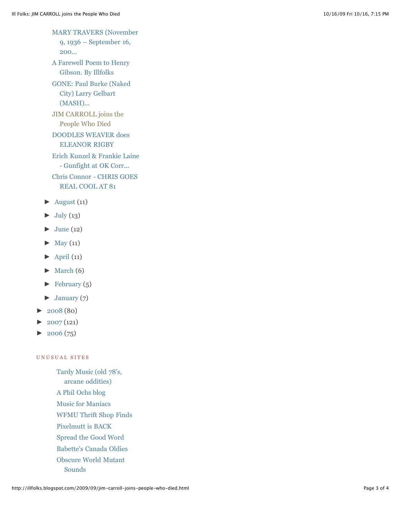[MARY TRAVERS \(November](http://illfolks.blogspot.com/2009/09/mary-travers-november-9-1936-september.html) 9, 1936 – September 16, 200...

[A Farewell Poem to Henry](http://illfolks.blogspot.com/2009/09/farewell-poem-to-henry-gibson-by.html) Gibson. By Illfolks

[GONE: Paul Burke \(Naked](http://illfolks.blogspot.com/2009/09/gone-paul-burke-naked-city-larry.html) City) Larry Gelbart (MASH)...

[JIM CARROLL joins the](http://illfolks.blogspot.com/2009/09/jim-carroll-joins-people-who-died.html) People Who Died

[DOODLES WEAVER does](http://illfolks.blogspot.com/2009/09/doodles-weaver-does-eleanor-rigby.html) ELEANOR RIGBY

[Erich Kunzel & Frankie Laine](http://illfolks.blogspot.com/2009/09/erich-kunzel-frankie-laine-gunfight-at.html) - Gunfight at OK Corr...

[Chris Connor - CHRIS GOES](http://illfolks.blogspot.com/2009/09/chris-connor-chris-goes-real-cool-at-81.html) REAL COOL AT 81

- $\blacktriangleright$  [August](http://illfolks.blogspot.com/2009_08_01_archive.html) (11)
- $\blacktriangleright$  [July](http://illfolks.blogspot.com/2009_07_01_archive.html) (13)
- $\blacktriangleright$  [June](http://illfolks.blogspot.com/2009_06_01_archive.html) (12)
- $\blacktriangleright$  [May](http://illfolks.blogspot.com/2009_05_01_archive.html) (11)
- $\blacktriangleright$  [April](http://illfolks.blogspot.com/2009_04_01_archive.html) (11)
- $\blacktriangleright$  [March](http://illfolks.blogspot.com/2009_03_01_archive.html) (6)
- $\blacktriangleright$  [February](http://illfolks.blogspot.com/2009_02_01_archive.html) (5)
- $\blacktriangleright$  [January](http://illfolks.blogspot.com/2009_01_01_archive.html) (7)
- $\blacktriangleright$  [2008](http://illfolks.blogspot.com/search?updated-min=2008-01-01T00%3A00%3A00-08%3A00&updated-max=2009-01-01T00%3A00%3A00-08%3A00&max-results=50) (80)
- $\blacktriangleright$  [2007](http://illfolks.blogspot.com/search?updated-min=2007-01-01T00%3A00%3A00-08%3A00&updated-max=2008-01-01T00%3A00%3A00-08%3A00&max-results=50) (121)
- $\blacktriangleright$  [2006](http://illfolks.blogspot.com/search?updated-min=2006-01-01T00%3A00%3A00-08%3A00&updated-max=2007-01-01T00%3A00%3A00-08%3A00&max-results=50) (75)

## UNUSUAL SITES

[Tardy Music \(old 78's,](http://tardymusic.blogspot.com/) arcane oddities) [A Phil Ochs blog](http://phil-ochs.blogspot.com/) [Music for Maniacs](http://musicformaniacs.blogspot.com/) [WFMU Thrift Shop Finds](http://blog.wfmu.org/) [Pixelmutt is BACK](http://pixelmuttz.blogspot.com/) [Spread the Good Word](http://reverendfrost.blogspot.com/) [Babette's Canada Oldies](http://mimilatwisteuse.blogspot.com/) [Obscure World Mutant](http://mutant-sounds.blogspot.com/) Sounds